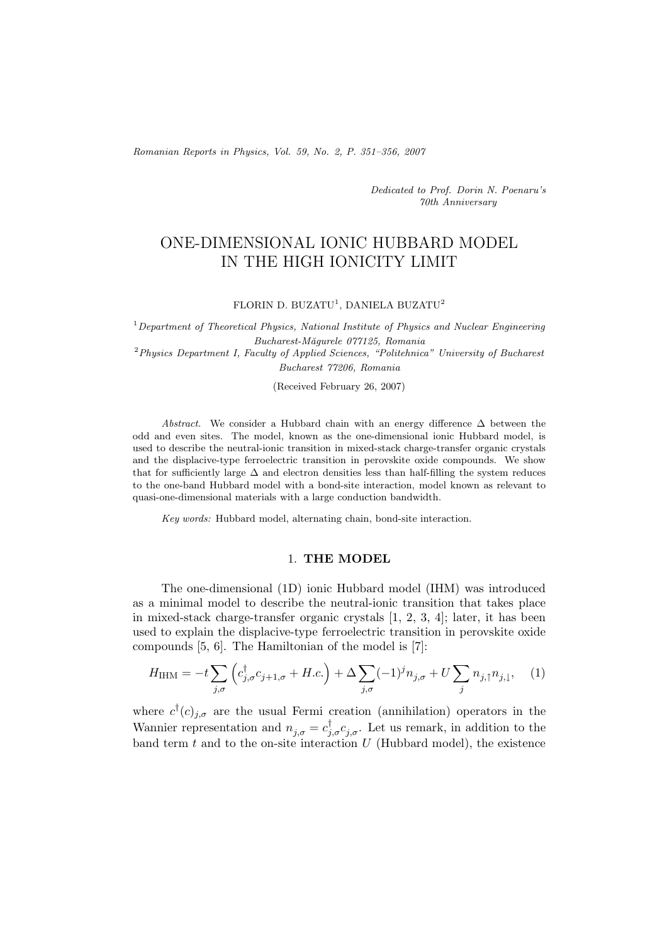*Romanian Reports in Physics, Vol. 59, No. 2, P. 351–356, 2007*

*Dedicated to Prof. Dorin N. Poenaru's 70th Anniversary*

# ONE-DIMENSIONAL IONIC HUBBARD MODEL IN THE HIGH IONICITY LIMIT

### FLORIN D. BUZATU<sup>1</sup>, DANIELA BUZATU<sup>2</sup>

<sup>1</sup>*Department of Theoretical Physics, National Institute of Physics and Nuclear Engineering Bucharest-M˘agurele 077125, Romania* <sup>2</sup>*Physics Department I, Faculty of Applied Sciences, "Politehnica" University of Bucharest*

*Bucharest 77206, Romania*

(Received February 26, 2007)

*Abstract.* We consider a Hubbard chain with an energy difference  $\Delta$  between the odd and even sites. The model, known as the one-dimensional ionic Hubbard model, is used to describe the neutral-ionic transition in mixed-stack charge-transfer organic crystals and the displacive-type ferroelectric transition in perovskite oxide compounds. We show that for sufficiently large  $\Delta$  and electron densities less than half-filling the system reduces to the one-band Hubbard model with a bond-site interaction, model known as relevant to quasi-one-dimensional materials with a large conduction bandwidth.

*Key words:* Hubbard model, alternating chain, bond-site interaction.

# 1. **THE MODEL**

The one-dimensional (1D) ionic Hubbard model (IHM) was introduced as a minimal model to describe the neutral-ionic transition that takes place in mixed-stack charge-transfer organic crystals [1, 2, 3, 4]; later, it has been used to explain the displacive-type ferroelectric transition in perovskite oxide compounds [5, 6]. The Hamiltonian of the model is [7]:

$$
H_{\text{IHM}} = -t \sum_{j,\sigma} \left( c_{j,\sigma}^{\dagger} c_{j+1,\sigma} + H.c. \right) + \Delta \sum_{j,\sigma} (-1)^{j} n_{j,\sigma} + U \sum_{j} n_{j,\uparrow} n_{j,\downarrow}, \quad (1)
$$

where  $c^{\dagger}(c)_{j,\sigma}$  are the usual Fermi creation (annihilation) operators in the Wannier representation and  $n_{j,\sigma} = c_{j,\sigma}^{\dagger} c_{j,\sigma}^{\dagger}$ . Let us remark, in addition to the band term  $t$  and to the on-site interaction  $U$  (Hubbard model), the existence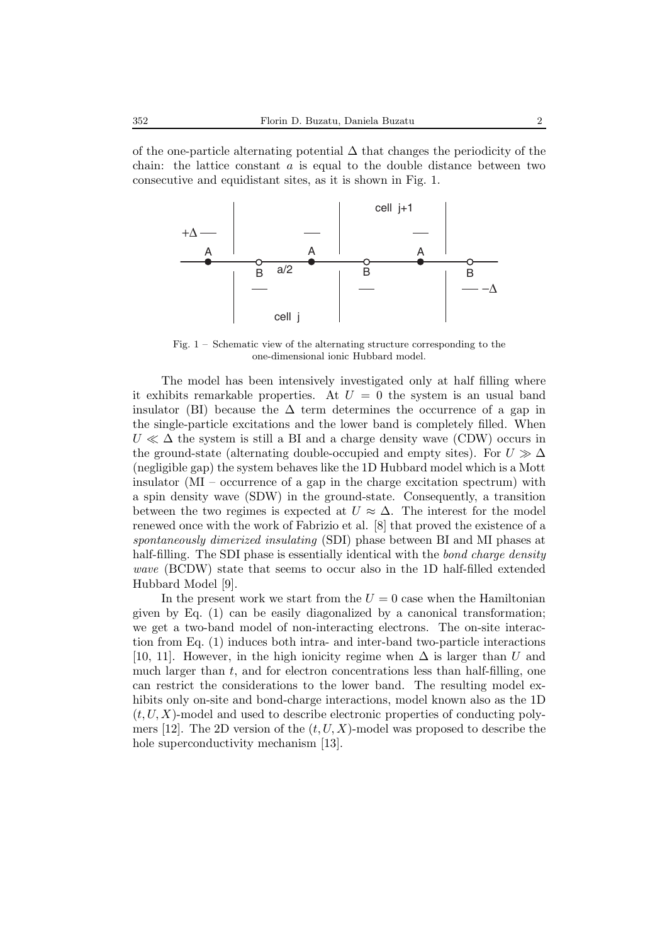of the one-particle alternating potential  $\Delta$  that changes the periodicity of the chain: the lattice constant  $a$  is equal to the double distance between two consecutive and equidistant sites, as it is shown in Fig. 1.



Fig. 1 – Schematic view of the alternating structure corresponding to the one-dimensional ionic Hubbard model.

The model has been intensively investigated only at half filling where it exhibits remarkable properties. At  $U = 0$  the system is an usual band insulator (BI) because the  $\Delta$  term determines the occurrence of a gap in the single-particle excitations and the lower band is completely filled. When  $U \ll \Delta$  the system is still a BI and a charge density wave (CDW) occurs in the ground-state (alternating double-occupied and empty sites). For  $U \gg \Delta$ (negligible gap) the system behaves like the 1D Hubbard model which is a Mott insulator (MI – occurrence of a gap in the charge excitation spectrum) with a spin density wave (SDW) in the ground-state. Consequently, a transition between the two regimes is expected at  $U \approx \Delta$ . The interest for the model renewed once with the work of Fabrizio et al. [8] that proved the existence of a *spontaneously dimerized insulating* (SDI) phase between BI and MI phases at half-filling. The SDI phase is essentially identical with the *bond charge density wave* (BCDW) state that seems to occur also in the 1D half-filled extended Hubbard Model [9].

In the present work we start from the  $U = 0$  case when the Hamiltonian given by Eq. (1) can be easily diagonalized by a canonical transformation; we get a two-band model of non-interacting electrons. The on-site interaction from Eq. (1) induces both intra- and inter-band two-particle interactions [10, 11]. However, in the high ionicity regime when  $\Delta$  is larger than U and much larger than  $t$ , and for electron concentrations less than half-filling, one can restrict the considerations to the lower band. The resulting model exhibits only on-site and bond-charge interactions, model known also as the 1D  $(t, U, X)$ -model and used to describe electronic properties of conducting polymers [12]. The 2D version of the  $(t, U, X)$ -model was proposed to describe the hole superconductivity mechanism [13].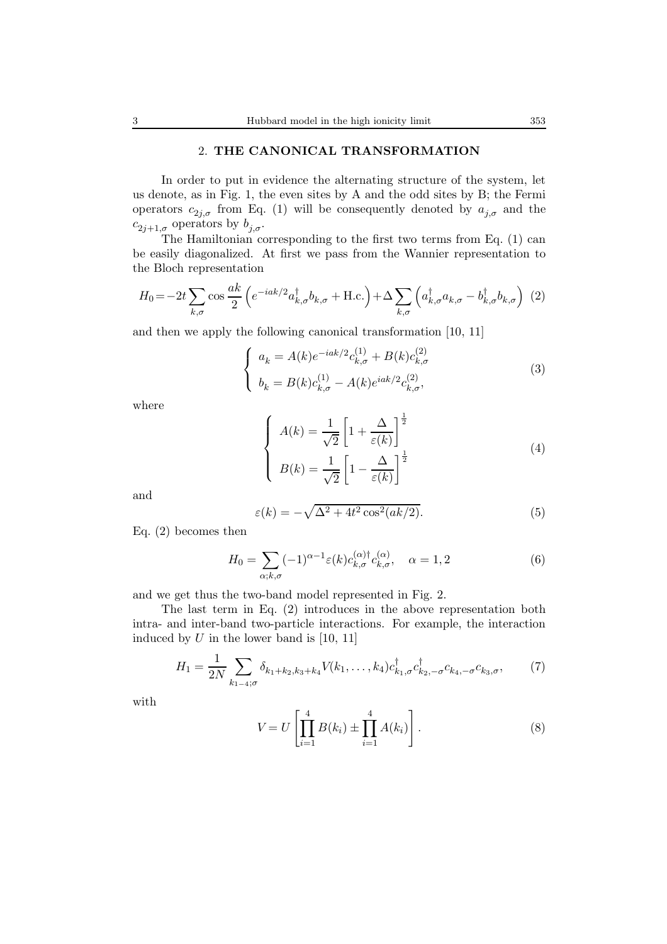### 2. **THE CANONICAL TRANSFORMATION**

In order to put in evidence the alternating structure of the system, let us denote, as in Fig. 1, the even sites by A and the odd sites by B; the Fermi operators  $c_{2j,\sigma}$  from Eq. (1) will be consequently denoted by  $a_{j,\sigma}$  and the  $c_{2j+1,\sigma}$  operators by  $b_{j,\sigma}$ .

The Hamiltonian corresponding to the first two terms from Eq. (1) can be easily diagonalized. At first we pass from the Wannier representation to the Bloch representation

$$
H_0 = -2t \sum_{k,\sigma} \cos \frac{ak}{2} \left( e^{-iak/2} a_{k,\sigma}^\dagger b_{k,\sigma} + \text{H.c.} \right) + \Delta \sum_{k,\sigma} \left( a_{k,\sigma}^\dagger a_{k,\sigma} - b_{k,\sigma}^\dagger b_{k,\sigma} \right) (2)
$$

and then we apply the following canonical transformation [10, 11]

$$
\begin{cases}\na_k = A(k)e^{-iak/2}c_{k,\sigma}^{(1)} + B(k)c_{k,\sigma}^{(2)} \\
b_k = B(k)c_{k,\sigma}^{(1)} - A(k)e^{iak/2}c_{k,\sigma}^{(2)},\n\end{cases}
$$
\n(3)

where

$$
\begin{cases}\nA(k) = \frac{1}{\sqrt{2}} \left[ 1 + \frac{\Delta}{\varepsilon(k)} \right]^{\frac{1}{2}} \\
B(k) = \frac{1}{\sqrt{2}} \left[ 1 - \frac{\Delta}{\varepsilon(k)} \right]^{\frac{1}{2}}\n\end{cases} (4)
$$

and

$$
\varepsilon(k) = -\sqrt{\Delta^2 + 4t^2 \cos^2(ak/2)}.
$$
\n(5)

Eq. (2) becomes then

$$
H_0 = \sum_{\alpha;k,\sigma} (-1)^{\alpha-1} \varepsilon(k) c_{k,\sigma}^{(\alpha)\dagger} c_{k,\sigma}^{(\alpha)}, \quad \alpha = 1,2 \tag{6}
$$

and we get thus the two-band model represented in Fig. 2.

The last term in Eq. (2) introduces in the above representation both intra- and inter-band two-particle interactions. For example, the interaction induced by  $U$  in the lower band is [10, 11]

$$
H_1 = \frac{1}{2N} \sum_{k_1 = 4;\sigma} \delta_{k_1 + k_2, k_3 + k_4} V(k_1, \dots, k_4) c_{k_1, \sigma}^\dagger c_{k_2, -\sigma}^\dagger c_{k_3, -\sigma} c_{k_3, \sigma}, \tag{7}
$$

with

$$
V = U \left[ \prod_{i=1}^{4} B(k_i) \pm \prod_{i=1}^{4} A(k_i) \right].
$$
 (8)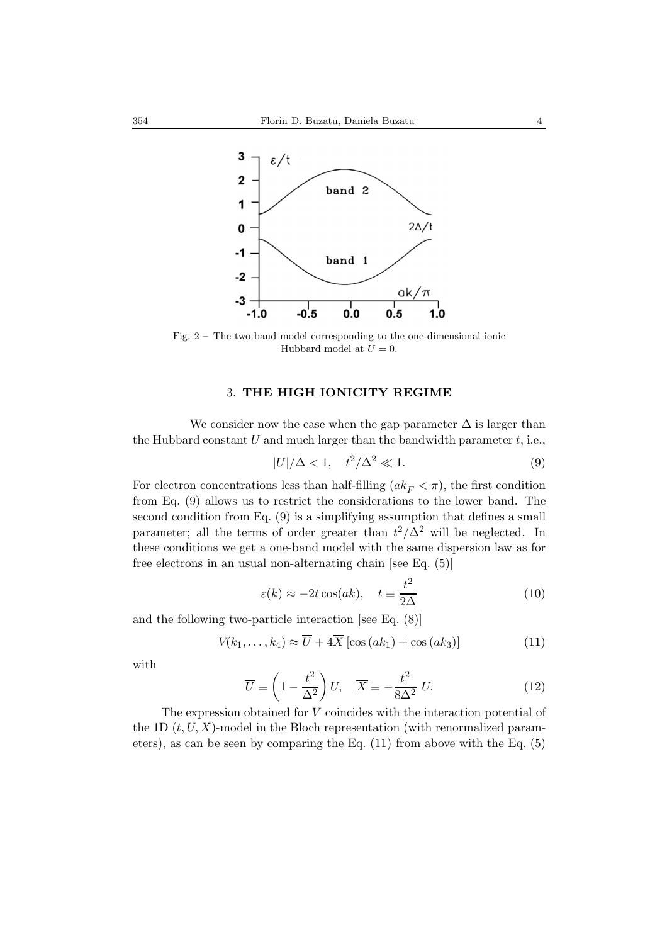

Fig. 2 – The two-band model corresponding to the one-dimensional ionic Hubbard model at  $U = 0$ .

# 3. **THE HIGH IONICITY REGIME**

We consider now the case when the gap parameter  $\Delta$  is larger than the Hubbard constant  $U$  and much larger than the bandwidth parameter  $t$ , i.e.,

$$
|U|/\Delta < 1, \quad t^2/\Delta^2 \ll 1. \tag{9}
$$

For electron concentrations less than half-filling  $(ak_F < \pi)$ , the first condition from Eq. (9) allows us to restrict the considerations to the lower band. The second condition from Eq. (9) is a simplifying assumption that defines a small parameter; all the terms of order greater than  $t^2/\Delta^2$  will be neglected. In these conditions we get a one-band model with the same dispersion law as for free electrons in an usual non-alternating chain [see Eq. (5)]

$$
\varepsilon(k) \approx -2\overline{t}\cos(ak), \quad \overline{t} \equiv \frac{t^2}{2\Delta} \tag{10}
$$

and the following two-particle interaction [see Eq. (8)]

$$
V(k_1, \ldots, k_4) \approx \overline{U} + 4\overline{X} \left[ \cos\left(ak_1\right) + \cos\left(ak_3\right) \right] \tag{11}
$$

with

$$
\overline{U} \equiv \left(1 - \frac{t^2}{\Delta^2}\right)U, \quad \overline{X} \equiv -\frac{t^2}{8\Delta^2}U. \tag{12}
$$

The expression obtained for V coincides with the interaction potential of the 1D  $(t, U, X)$ -model in the Bloch representation (with renormalized parameters), as can be seen by comparing the Eq. (11) from above with the Eq. (5)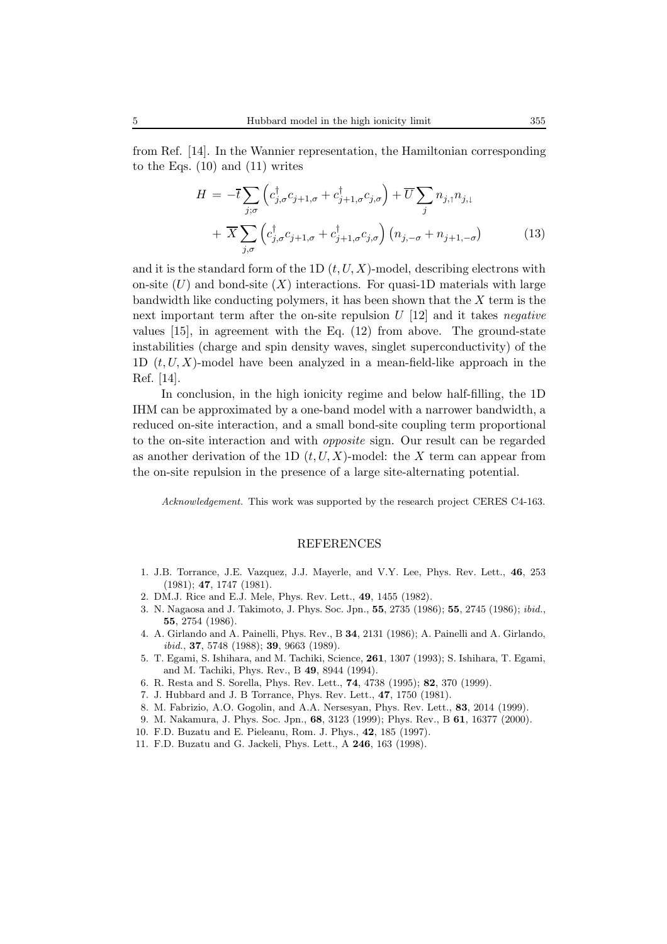from Ref. [14]. In the Wannier representation, the Hamiltonian corresponding to the Eqs.  $(10)$  and  $(11)$  writes

$$
H = -\overline{t} \sum_{j,\sigma} \left( c_{j,\sigma}^{\dagger} c_{j+1,\sigma} + c_{j+1,\sigma}^{\dagger} c_{j,\sigma} \right) + \overline{U} \sum_{j} n_{j,\uparrow} n_{j,\downarrow}
$$

$$
+ \overline{X} \sum_{j,\sigma} \left( c_{j,\sigma}^{\dagger} c_{j+1,\sigma} + c_{j+1,\sigma}^{\dagger} c_{j,\sigma} \right) \left( n_{j,-\sigma} + n_{j+1,-\sigma} \right) \tag{13}
$$

and it is the standard form of the 1D  $(t, U, X)$ -model, describing electrons with on-site  $(U)$  and bond-site  $(X)$  interactions. For quasi-1D materials with large bandwidth like conducting polymers, it has been shown that the  $X$  term is the next important term after the on-site repulsion U [12] and it takes *negative* values [15], in agreement with the Eq. (12) from above. The ground-state instabilities (charge and spin density waves, singlet superconductivity) of the 1D  $(t, U, X)$ -model have been analyzed in a mean-field-like approach in the Ref. [14].

In conclusion, in the high ionicity regime and below half-filling, the 1D IHM can be approximated by a one-band model with a narrower bandwidth, a reduced on-site interaction, and a small bond-site coupling term proportional to the on-site interaction and with *opposite* sign. Our result can be regarded as another derivation of the 1D  $(t, U, X)$ -model: the X term can appear from the on-site repulsion in the presence of a large site-alternating potential.

*Acknowledgement.* This work was supported by the research project CERES C4-163.

#### REFERENCES

- 1. J.B. Torrance, J.E. Vazquez, J.J. Mayerle, and V.Y. Lee, Phys. Rev. Lett., **46**, 253 (1981); **47**, 1747 (1981).
- 2. DM.J. Rice and E.J. Mele, Phys. Rev. Lett., **49**, 1455 (1982).
- 3. N. Nagaosa and J. Takimoto, J. Phys. Soc. Jpn., **55**, 2735 (1986); **55**, 2745 (1986); *ibid.*, **55**, 2754 (1986).
- 4. A. Girlando and A. Painelli, Phys. Rev., B **34**, 2131 (1986); A. Painelli and A. Girlando, *ibid.*, **37**, 5748 (1988); **39**, 9663 (1989).
- 5. T. Egami, S. Ishihara, and M. Tachiki, Science, **261**, 1307 (1993); S. Ishihara, T. Egami, and M. Tachiki, Phys. Rev., B **49**, 8944 (1994).
- 6. R. Resta and S. Sorella, Phys. Rev. Lett., **74**, 4738 (1995); **82**, 370 (1999).
- 7. J. Hubbard and J. B Torrance, Phys. Rev. Lett., **47**, 1750 (1981).
- 8. M. Fabrizio, A.O. Gogolin, and A.A. Nersesyan, Phys. Rev. Lett., **83**, 2014 (1999).
- 9. M. Nakamura, J. Phys. Soc. Jpn., **68**, 3123 (1999); Phys. Rev., B **61**, 16377 (2000).
- 10. F.D. Buzatu and E. Pieleanu, Rom. J. Phys., **42**, 185 (1997).
- 11. F.D. Buzatu and G. Jackeli, Phys. Lett., A **246**, 163 (1998).